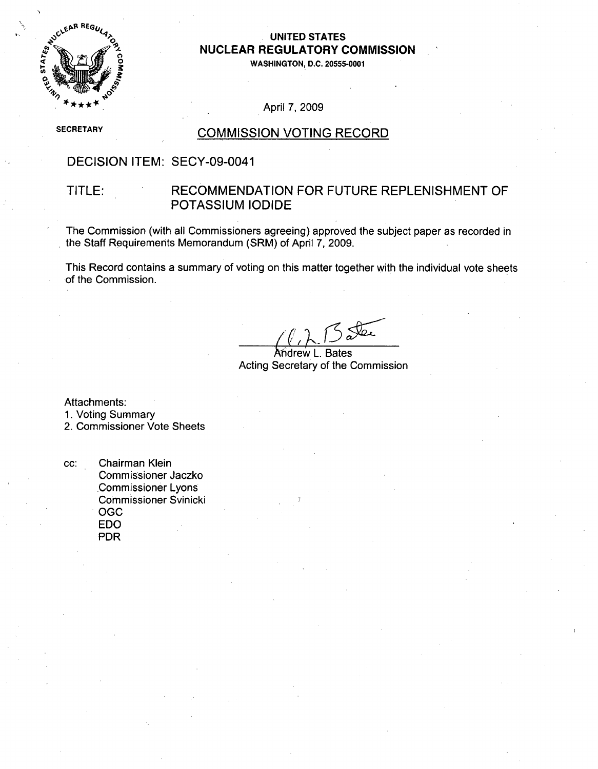

# **NUCLEAR** REGULATORY **COMMISSION**

**0WASHINGTON, D.C. 20555-0001**

#### April 7, 2009

**SECRETARY** 

#### COMMISSION VOTING RECORD

### DECISION ITEM: SECY-09-0041

#### TITLE: RECOMMENDATION FOR FUTURE REPLENISHMENT OF POTASSIUM IODIDE

The Commission (with all Commissioners agreeing) approved the subject paper as recorded in the Staff Requirements Memorandum (SRM) of April 7, 2009.

This Record contains a summary of voting on this matter together with the individual vote sheets of the Commission.

Andrew L. Bates Acting Secretary of the Commission

Attachments:

1. Voting Summary

2. Commissioner Vote Sheets

cc: Chairman Klein Commissioner Jaczko -Commissioner Lyons Commissioner Svinicki OGC EDO PDR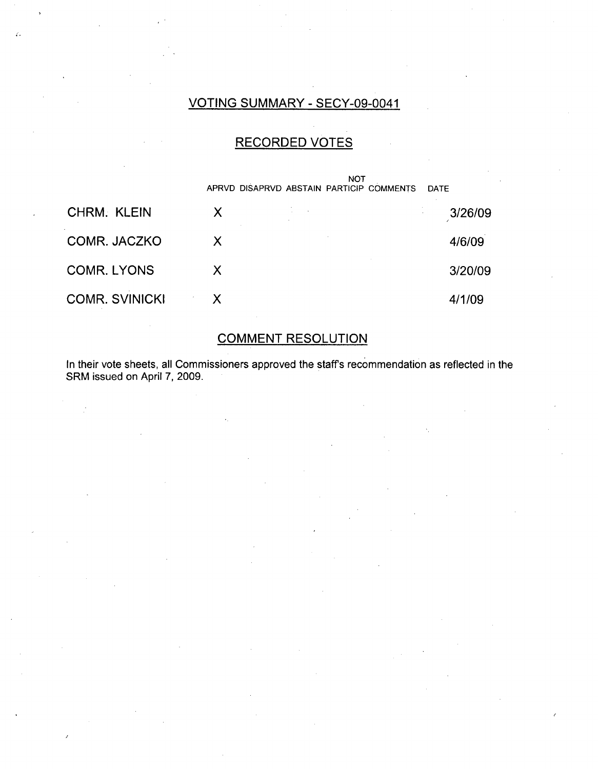## VOTING SUMMARY - SECY-09-0041

### RECORDED VOTES

|                       |              | <b>NOT</b><br>APRVD DISAPRVD ABSTAIN PARTICIP COMMENTS | <b>DATE</b> |
|-----------------------|--------------|--------------------------------------------------------|-------------|
| <b>CHRM. KLEIN</b>    | Х            |                                                        | 3/26/09     |
| COMR. JACZKO          | X            |                                                        | 4/6/09      |
| <b>COMR. LYONS</b>    | X.           |                                                        | 3/20/09     |
| <b>COMR. SVINICKI</b> | $\mathsf{X}$ |                                                        | 4/1/09      |

### COMMENT RESOLUTION

In their vote sheets, all Commissioners approved the staffs recommendation as reflected in the SRM issued on April 7, 2009.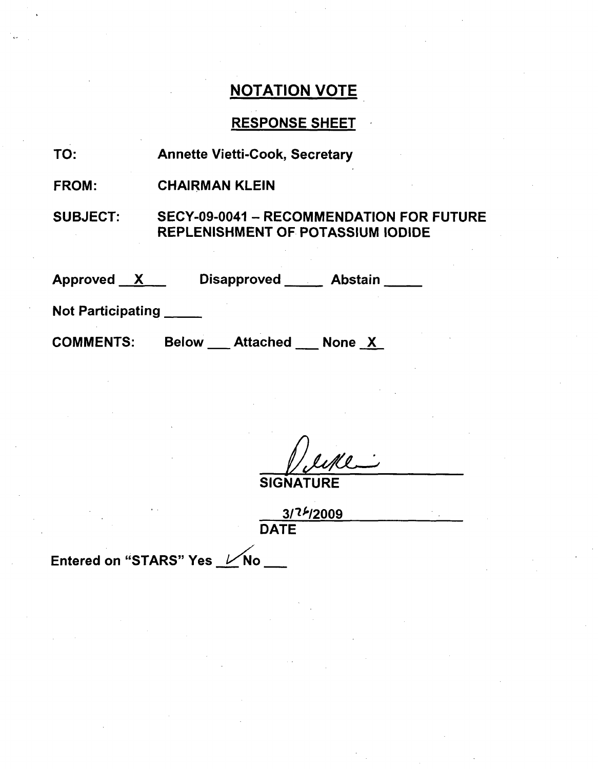### RESPONSE SHEET

TO: Annette Vietti-Cook, Secretary

FROM: CHAIRMAN KLEIN

SUBJECT: SECY-09-0041 - RECOMMENDATION FOR FUTURE REPLENISHMENT OF POTASSIUM IODIDE

Approved <u>X</u> Disapproved Abstair

Not Participating

**COMMENTS:** 

Below Attached None X

SIGNATURE

**30112009 DATE** 

Entered on "STARS" Yes  $V$ No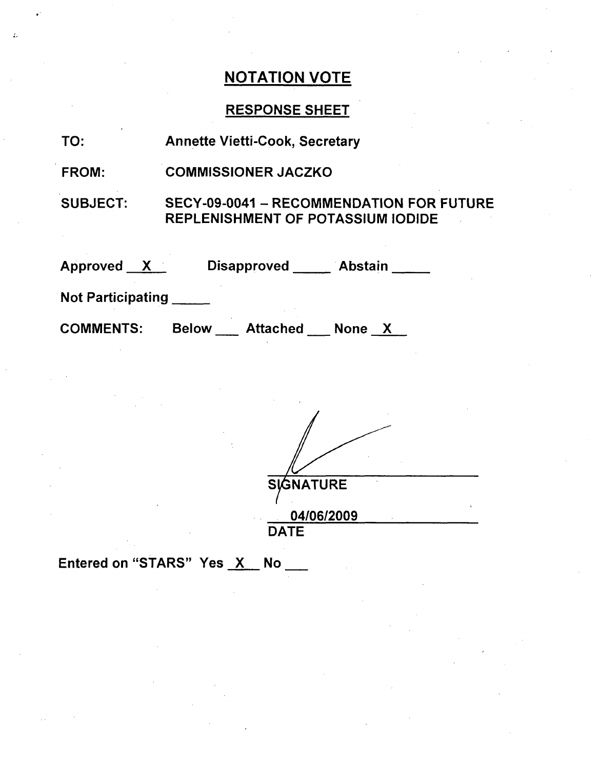## RESPONSE SHEET

| TO:                      | <b>Annette Vietti-Cook, Secretary</b>                                                       |  |  |
|--------------------------|---------------------------------------------------------------------------------------------|--|--|
| <b>FROM:</b>             | <b>COMMISSIONER JACZKO</b>                                                                  |  |  |
| SUBJECT:                 | <b>SECY-09-0041 - RECOMMENDATION FOR FUTURE</b><br><b>REPLENISHMENT OF POTASSIUM IODIDE</b> |  |  |
| Approved X               | Disapproved Abstain                                                                         |  |  |
| <b>Not Participating</b> |                                                                                             |  |  |
| <b>COMMENTS:</b>         | Attached None X<br><b>Below</b>                                                             |  |  |

| <b>SIGNATURE</b> |  |
|------------------|--|
| 04/06/2009       |  |
| <b>DATE</b>      |  |

Entered on "STARS" Yes X No \_\_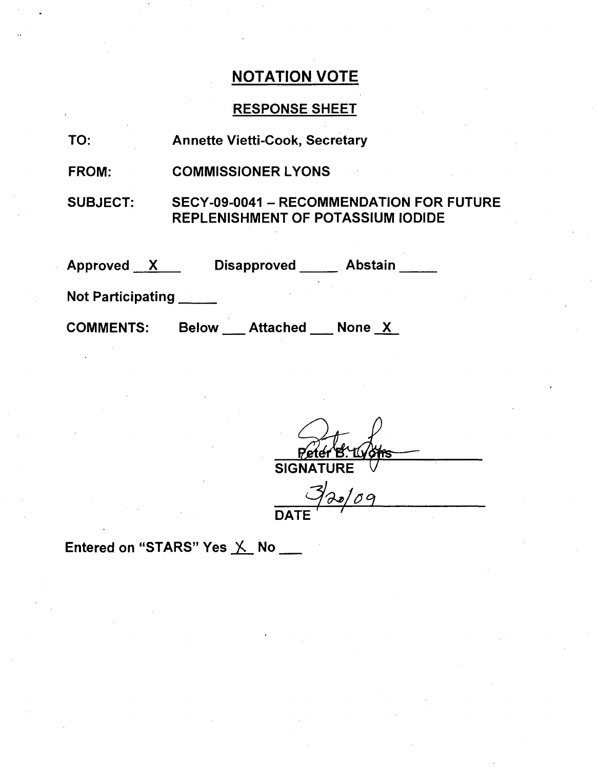## RESPONSE SHEET

| TO:                      | <b>Annette Vietti-Cook, Secretary</b>                                                       |
|--------------------------|---------------------------------------------------------------------------------------------|
| FROM:                    | <b>COMMISSIONER LYONS</b>                                                                   |
| <b>SUBJECT:</b>          | <b>SECY-09-0041 - RECOMMENDATION FOR FUTURE</b><br><b>REPLENISHMENT OF POTASSIUM IODIDE</b> |
| Approved X               | Disapproved Abstain                                                                         |
| <b>Not Participating</b> |                                                                                             |
| <b>COMMENTS:</b>         | Attached None X<br><b>Below</b>                                                             |

Pete <u>/offs</u> SIGNATURE

**DATE~'**

Entered on "STARS" Yes X No